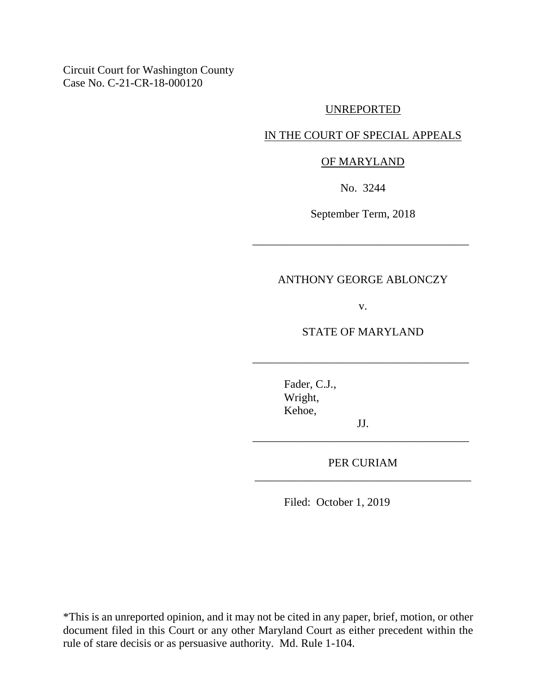Circuit Court for Washington County Case No. C-21-CR-18-000120

## UNREPORTED

## IN THE COURT OF SPECIAL APPEALS

## OF MARYLAND

No. 3244

September Term, 2018

\_\_\_\_\_\_\_\_\_\_\_\_\_\_\_\_\_\_\_\_\_\_\_\_\_\_\_\_\_\_\_\_\_\_\_\_\_\_

## ANTHONY GEORGE ABLONCZY

v.

STATE OF MARYLAND

\_\_\_\_\_\_\_\_\_\_\_\_\_\_\_\_\_\_\_\_\_\_\_\_\_\_\_\_\_\_\_\_\_\_\_\_\_\_

Fader, C.J., Wright, Kehoe,

JJ. \_\_\_\_\_\_\_\_\_\_\_\_\_\_\_\_\_\_\_\_\_\_\_\_\_\_\_\_\_\_\_\_\_\_\_\_\_\_

PER CURIAM \_\_\_\_\_\_\_\_\_\_\_\_\_\_\_\_\_\_\_\_\_\_\_\_\_\_\_\_\_\_\_\_\_\_\_\_\_\_

Filed: October 1, 2019

\*This is an unreported opinion, and it may not be cited in any paper, brief, motion, or other document filed in this Court or any other Maryland Court as either precedent within the rule of stare decisis or as persuasive authority. Md. Rule 1-104.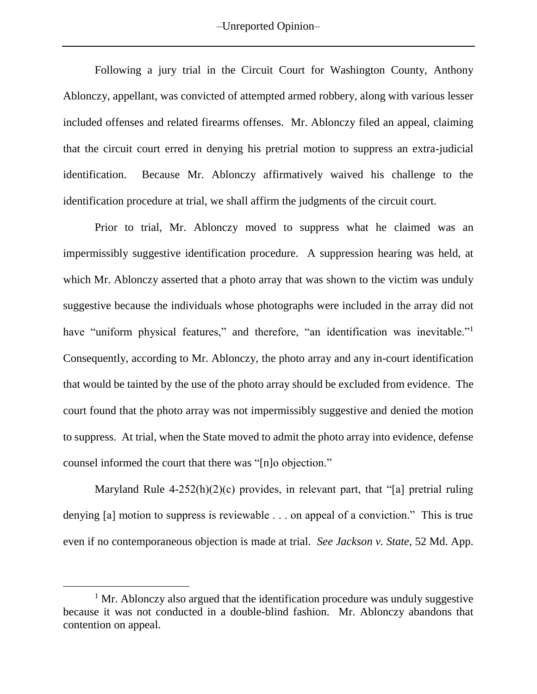Following a jury trial in the Circuit Court for Washington County, Anthony Ablonczy, appellant, was convicted of attempted armed robbery, along with various lesser included offenses and related firearms offenses. Mr. Ablonczy filed an appeal, claiming that the circuit court erred in denying his pretrial motion to suppress an extra-judicial identification. Because Mr. Ablonczy affirmatively waived his challenge to the identification procedure at trial, we shall affirm the judgments of the circuit court.

Prior to trial, Mr. Ablonczy moved to suppress what he claimed was an impermissibly suggestive identification procedure. A suppression hearing was held, at which Mr. Ablonczy asserted that a photo array that was shown to the victim was unduly suggestive because the individuals whose photographs were included in the array did not have "uniform physical features," and therefore, "an identification was inevitable."<sup>1</sup> Consequently, according to Mr. Ablonczy, the photo array and any in-court identification that would be tainted by the use of the photo array should be excluded from evidence. The court found that the photo array was not impermissibly suggestive and denied the motion to suppress. At trial, when the State moved to admit the photo array into evidence, defense counsel informed the court that there was "[n]o objection."

Maryland Rule 4-252(h)(2)(c) provides, in relevant part, that "[a] pretrial ruling denying [a] motion to suppress is reviewable . . . on appeal of a conviction." This is true even if no contemporaneous objection is made at trial. *See Jackson v. State*, 52 Md. App.

 $\overline{a}$ 

<sup>&</sup>lt;sup>1</sup> Mr. Ablonczy also argued that the identification procedure was unduly suggestive because it was not conducted in a double-blind fashion. Mr. Ablonczy abandons that contention on appeal.